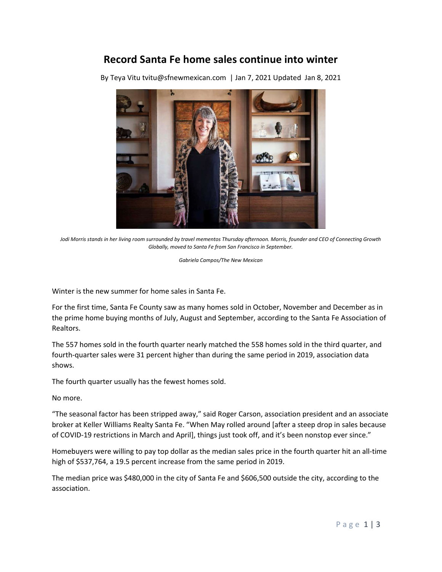## Record Santa Fe home sales continue into winter

By Teya Vitu tvitu@sfnewmexican.com | Jan 7, 2021 Updated Jan 8, 2021



Jodi Morris stands in her living room surrounded by travel mementos Thursday afternoon. Morris, founder and CEO of Connecting Growth Globally, moved to Santa Fe from San Francisco in September.

Gabriela Campos/The New Mexican

Winter is the new summer for home sales in Santa Fe.

For the first time, Santa Fe County saw as many homes sold in October, November and December as in the prime home buying months of July, August and September, according to the Santa Fe Association of Realtors.

The 557 homes sold in the fourth quarter nearly matched the 558 homes sold in the third quarter, and fourth-quarter sales were 31 percent higher than during the same period in 2019, association data shows.

The fourth quarter usually has the fewest homes sold.

No more.

"The seasonal factor has been stripped away," said Roger Carson, association president and an associate broker at Keller Williams Realty Santa Fe. "When May rolled around [after a steep drop in sales because of COVID-19 restrictions in March and April], things just took off, and it's been nonstop ever since."

Homebuyers were willing to pay top dollar as the median sales price in the fourth quarter hit an all-time high of \$537,764, a 19.5 percent increase from the same period in 2019.

The median price was \$480,000 in the city of Santa Fe and \$606,500 outside the city, according to the association.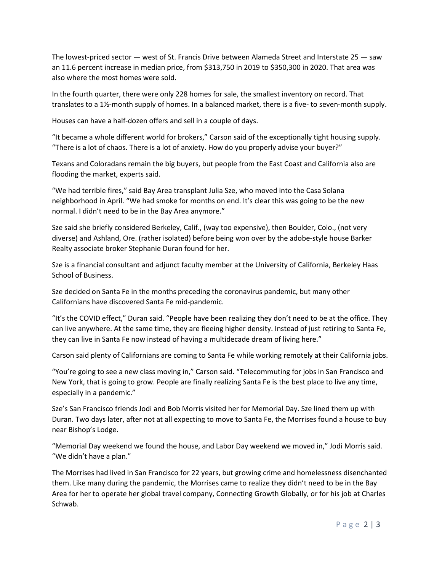The lowest-priced sector — west of St. Francis Drive between Alameda Street and Interstate 25 — saw an 11.6 percent increase in median price, from \$313,750 in 2019 to \$350,300 in 2020. That area was also where the most homes were sold.

In the fourth quarter, there were only 228 homes for sale, the smallest inventory on record. That translates to a 1½-month supply of homes. In a balanced market, there is a five- to seven-month supply.

Houses can have a half-dozen offers and sell in a couple of days.

"It became a whole different world for brokers," Carson said of the exceptionally tight housing supply. "There is a lot of chaos. There is a lot of anxiety. How do you properly advise your buyer?"

Texans and Coloradans remain the big buyers, but people from the East Coast and California also are flooding the market, experts said.

"We had terrible fires," said Bay Area transplant Julia Sze, who moved into the Casa Solana neighborhood in April. "We had smoke for months on end. It's clear this was going to be the new normal. I didn't need to be in the Bay Area anymore."

Sze said she briefly considered Berkeley, Calif., (way too expensive), then Boulder, Colo., (not very diverse) and Ashland, Ore. (rather isolated) before being won over by the adobe-style house Barker Realty associate broker Stephanie Duran found for her.

Sze is a financial consultant and adjunct faculty member at the University of California, Berkeley Haas School of Business.

Sze decided on Santa Fe in the months preceding the coronavirus pandemic, but many other Californians have discovered Santa Fe mid-pandemic.

"It's the COVID effect," Duran said. "People have been realizing they don't need to be at the office. They can live anywhere. At the same time, they are fleeing higher density. Instead of just retiring to Santa Fe, they can live in Santa Fe now instead of having a multidecade dream of living here."

Carson said plenty of Californians are coming to Santa Fe while working remotely at their California jobs.

"You're going to see a new class moving in," Carson said. "Telecommuting for jobs in San Francisco and New York, that is going to grow. People are finally realizing Santa Fe is the best place to live any time, especially in a pandemic."

Sze's San Francisco friends Jodi and Bob Morris visited her for Memorial Day. Sze lined them up with Duran. Two days later, after not at all expecting to move to Santa Fe, the Morrises found a house to buy near Bishop's Lodge.

"Memorial Day weekend we found the house, and Labor Day weekend we moved in," Jodi Morris said. "We didn't have a plan."

The Morrises had lived in San Francisco for 22 years, but growing crime and homelessness disenchanted them. Like many during the pandemic, the Morrises came to realize they didn't need to be in the Bay Area for her to operate her global travel company, Connecting Growth Globally, or for his job at Charles Schwab.